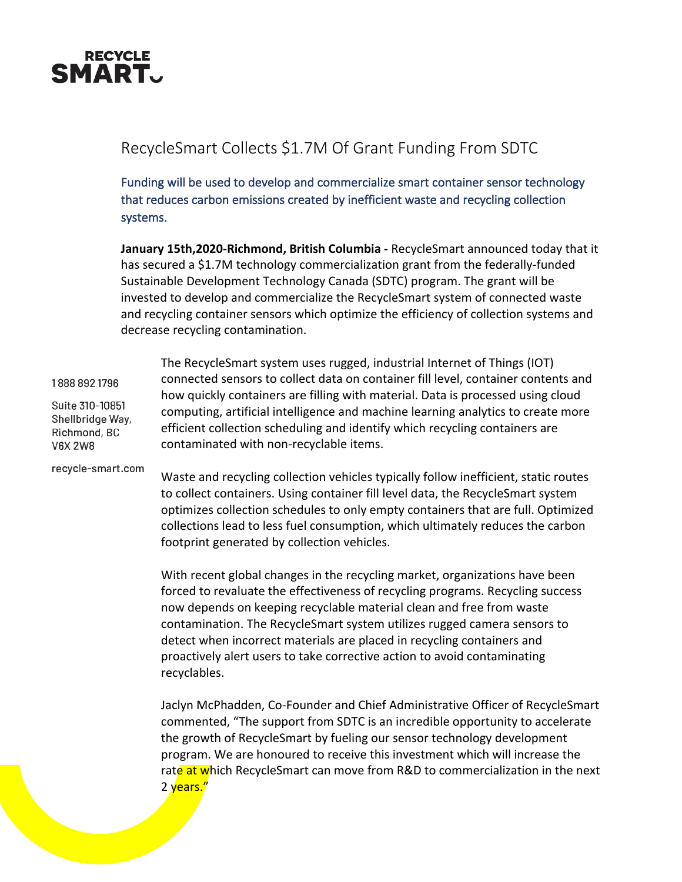

## RecycleSmart Collects \$1.7M Of Grant Funding From SDTC

Funding will be used to develop and commercialize smart container sensor technology that reduces carbon emissions created by inefficient waste and recycling collection systems.

**January 15th,2020-Richmond, British Columbia -** RecycleSmart announced today that it has secured a \$1.7M technology commercialization grant from the federally-funded Sustainable Development Technology Canada (SDTC) program. The grant will be invested to develop and commercialize the RecycleSmart system of connected waste and recycling container sensors which optimize the efficiency of collection systems and decrease recycling contamination.

1888 892 1796

Suite 310-10851 Shellbridge Way, Richmond, BC **V6X 2W8** 

recycle-smart.com

The RecycleSmart system uses rugged, industrial Internet of Things (IOT) connected sensors to collect data on container fill level, container contents and how quickly containers are filling with material. Data is processed using cloud computing, artificial intelligence and machine learning analytics to create more efficient collection scheduling and identify which recycling containers are contaminated with non-recyclable items.

Waste and recycling collection vehicles typically follow inefficient, static routes to collect containers. Using container fill level data, the RecycleSmart system optimizes collection schedules to only empty containers that are full. Optimized collections lead to less fuel consumption, which ultimately reduces the carbon footprint generated by collection vehicles.

With recent global changes in the recycling market, organizations have been forced to revaluate the effectiveness of recycling programs. Recycling success now depends on keeping recyclable material clean and free from waste contamination. The RecycleSmart system utilizes rugged camera sensors to detect when incorrect materials are placed in recycling containers and proactively alert users to take corrective action to avoid contaminating recyclables.

Jaclyn McPhadden, Co-Founder and Chief Administrative Officer of RecycleSmart commented, "The support from SDTC is an incredible opportunity to accelerate the growth of RecycleSmart by fueling our sensor technology development program. We are honoured to receive this investment which will increase the rate at which RecycleSmart can move from R&D to commercialization in the next 2 years."